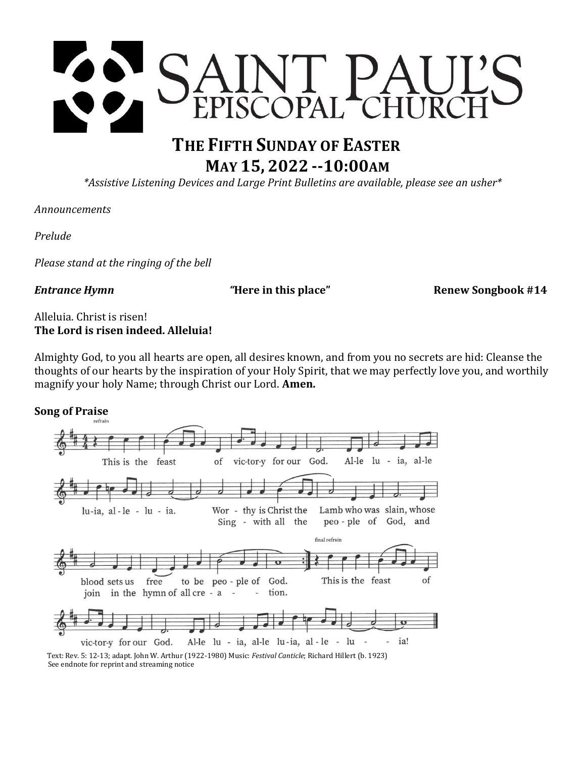

# **THE FIFTH SUNDAY OF EASTER MAY 15, 2022 --10:00AM**

*\*Assistive Listening Devices and Large Print Bulletins are available, please see an usher\**

*Announcements* 

*Prelude* 

*Please stand at the ringing of the bell*

*Entrance Hymn "***Here in this place" Renew Songbook #14**

Alleluia. Christ is risen! **The Lord is risen indeed. Alleluia!**

Almighty God, to you all hearts are open, all desires known, and from you no secrets are hid: Cleanse the thoughts of our hearts by the inspiration of your Holy Spirit, that we may perfectly love you, and worthily magnify your holy Name; through Christ our Lord. **Amen.**

### **Song of Praise**



See endnote for reprint and streaming notice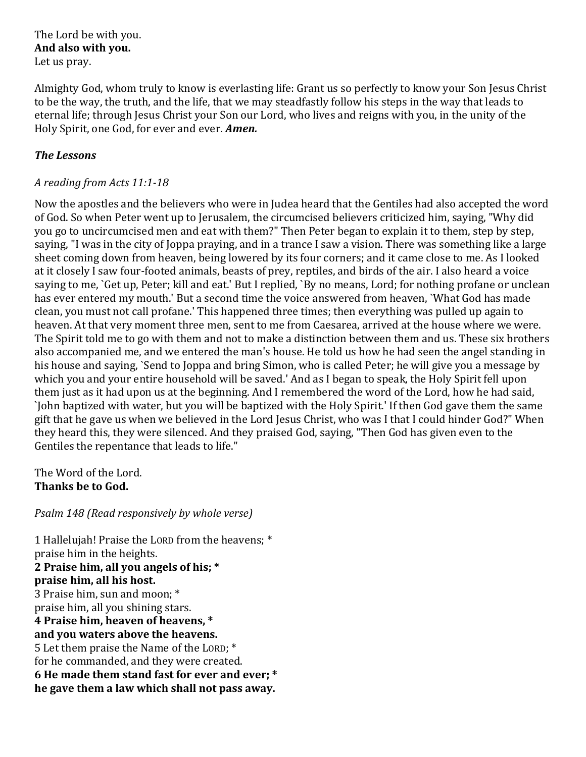### The Lord be with you. **And also with you.** Let us pray.

Almighty God, whom truly to know is everlasting life: Grant us so perfectly to know your Son Jesus Christ to be the way, the truth, and the life, that we may steadfastly follow his steps in the way that leads to eternal life; through Jesus Christ your Son our Lord, who lives and reigns with you, in the unity of the Holy Spirit, one God, for ever and ever. *Amen.*

# *The Lessons*

# *A reading from Acts 11:1-18*

Now the apostles and the believers who were in Judea heard that the Gentiles had also accepted the word of God. So when Peter went up to Jerusalem, the circumcised believers criticized him, saying, "Why did you go to uncircumcised men and eat with them?" Then Peter began to explain it to them, step by step, saying, "I was in the city of Joppa praying, and in a trance I saw a vision. There was something like a large sheet coming down from heaven, being lowered by its four corners; and it came close to me. As I looked at it closely I saw four-footed animals, beasts of prey, reptiles, and birds of the air. I also heard a voice saying to me, `Get up, Peter; kill and eat.' But I replied, `By no means, Lord; for nothing profane or unclean has ever entered my mouth.' But a second time the voice answered from heaven, `What God has made clean, you must not call profane.' This happened three times; then everything was pulled up again to heaven. At that very moment three men, sent to me from Caesarea, arrived at the house where we were. The Spirit told me to go with them and not to make a distinction between them and us. These six brothers also accompanied me, and we entered the man's house. He told us how he had seen the angel standing in his house and saying, `Send to Joppa and bring Simon, who is called Peter; he will give you a message by which you and your entire household will be saved.' And as I began to speak, the Holy Spirit fell upon them just as it had upon us at the beginning. And I remembered the word of the Lord, how he had said, `John baptized with water, but you will be baptized with the Holy Spirit.' If then God gave them the same gift that he gave us when we believed in the Lord Jesus Christ, who was I that I could hinder God?" When they heard this, they were silenced. And they praised God, saying, "Then God has given even to the Gentiles the repentance that leads to life."

The Word of the Lord. **Thanks be to God.**

*Psalm 148 (Read responsively by whole verse)*

1 Hallelujah! Praise the LORD from the heavens; \* praise him in the heights. **2 Praise him, all you angels of his; \* praise him, all his host.** 3 Praise him, sun and moon; \* praise him, all you shining stars. **4 Praise him, heaven of heavens, \* and you waters above the heavens.** 5 Let them praise the Name of the LORD; \* for he commanded, and they were created. **6 He made them stand fast for ever and ever; \* he gave them a law which shall not pass away.**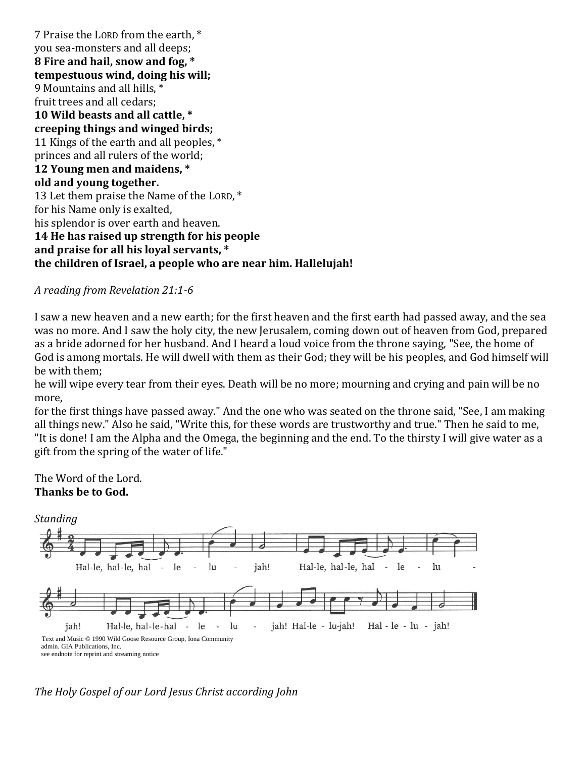7 Praise the LORD from the earth, \* you sea-monsters and all deeps; **8 Fire and hail, snow and fog, \* tempestuous wind, doing his will;** 9 Mountains and all hills, \* fruit trees and all cedars; **10 Wild beasts and all cattle, \* creeping things and winged birds;** 11 Kings of the earth and all peoples, \* princes and all rulers of the world; **12 Young men and maidens, \* old and young together.** 13 Let them praise the Name of the LORD, \* for his Name only is exalted, his splendor is over earth and heaven. **14 He has raised up strength for his people and praise for all his loyal servants, \* the children of Israel, a people who are near him. Hallelujah!**

*A reading from Revelation 21:1-6*

I saw a new heaven and a new earth; for the first heaven and the first earth had passed away, and the sea was no more. And I saw the holy city, the new Jerusalem, coming down out of heaven from God, prepared as a bride adorned for her husband. And I heard a loud voice from the throne saying, "See, the home of God is among mortals. He will dwell with them as their God; they will be his peoples, and God himself will be with them;

he will wipe every tear from their eyes. Death will be no more; mourning and crying and pain will be no more,

for the first things have passed away." And the one who was seated on the throne said, "See, I am making all things new." Also he said, "Write this, for these words are trustworthy and true." Then he said to me, "It is done! I am the Alpha and the Omega, the beginning and the end. To the thirsty I will give water as a gift from the spring of the water of life."

The Word of the Lord. **Thanks be to God.**



*The Holy Gospel of our Lord Jesus Christ according John*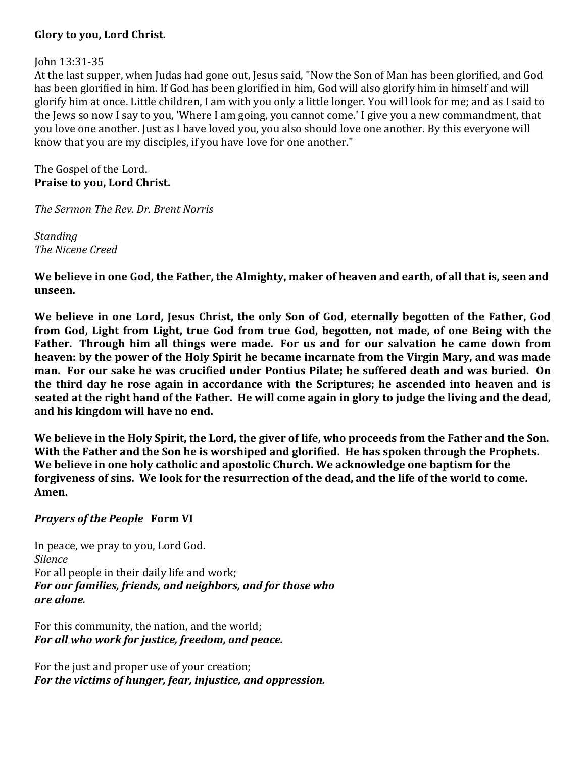## **Glory to you, Lord Christ.**

### John 13:31-35

At the last supper, when Judas had gone out, Jesus said, "Now the Son of Man has been glorified, and God has been glorified in him. If God has been glorified in him, God will also glorify him in himself and will glorify him at once. Little children, I am with you only a little longer. You will look for me; and as I said to the Jews so now I say to you, 'Where I am going, you cannot come.' I give you a new commandment, that you love one another. Just as I have loved you, you also should love one another. By this everyone will know that you are my disciples, if you have love for one another."

The Gospel of the Lord. **Praise to you, Lord Christ.**

*The Sermon The Rev. Dr. Brent Norris*

*Standing The Nicene Creed*

**We believe in one God, the Father, the Almighty, maker of heaven and earth, of all that is, seen and unseen.**

**We believe in one Lord, Jesus Christ, the only Son of God, eternally begotten of the Father, God from God, Light from Light, true God from true God, begotten, not made, of one Being with the Father. Through him all things were made. For us and for our salvation he came down from heaven: by the power of the Holy Spirit he became incarnate from the Virgin Mary, and was made man. For our sake he was crucified under Pontius Pilate; he suffered death and was buried. On the third day he rose again in accordance with the Scriptures; he ascended into heaven and is seated at the right hand of the Father. He will come again in glory to judge the living and the dead, and his kingdom will have no end.**

**We believe in the Holy Spirit, the Lord, the giver of life, who proceeds from the Father and the Son. With the Father and the Son he is worshiped and glorified. He has spoken through the Prophets. We believe in one holy catholic and apostolic Church. We acknowledge one baptism for the forgiveness of sins. We look for the resurrection of the dead, and the life of the world to come. Amen.**

### *Prayers of the People* **Form VI**

In peace, we pray to you, Lord God. *Silence* For all people in their daily life and work; *For our families, friends, and neighbors, and for those who are alone.*

For this community, the nation, and the world; *For all who work for justice, freedom, and peace.*

For the just and proper use of your creation; *For the victims of hunger, fear, injustice, and oppression.*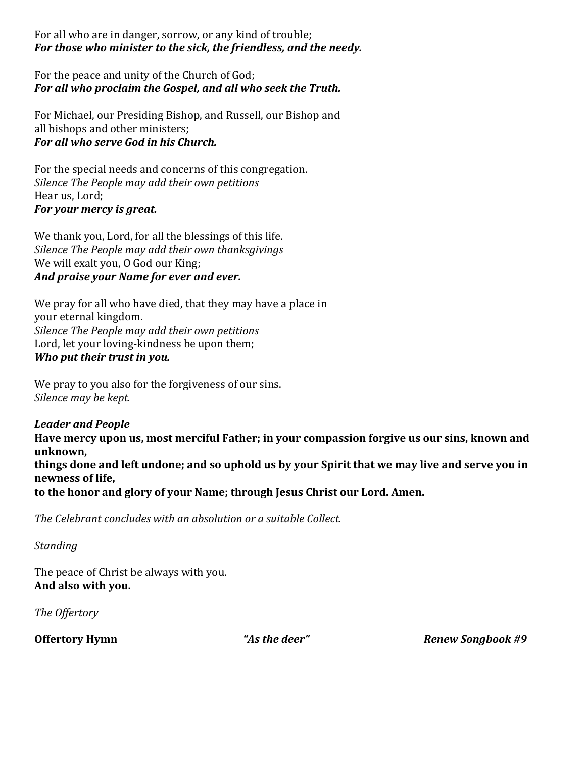For all who are in danger, sorrow, or any kind of trouble; *For those who minister to the sick, the friendless, and the needy.*

For the peace and unity of the Church of God; *For all who proclaim the Gospel, and all who seek the Truth.*

For Michael, our Presiding Bishop, and Russell, our Bishop and all bishops and other ministers; *For all who serve God in his Church.*

For the special needs and concerns of this congregation. *Silence The People may add their own petitions* Hear us, Lord; *For your mercy is great.*

We thank you, Lord, for all the blessings of this life. *Silence The People may add their own thanksgivings* We will exalt you, O God our King; *And praise your Name for ever and ever.*

We pray for all who have died, that they may have a place in your eternal kingdom. *Silence The People may add their own petitions* Lord, let your loving-kindness be upon them; *Who put their trust in you.*

We pray to you also for the forgiveness of our sins. *Silence may be kept.*

*Leader and People* **Have mercy upon us, most merciful Father; in your compassion forgive us our sins, known and unknown, things done and left undone; and so uphold us by your Spirit that we may live and serve you in newness of life, to the honor and glory of your Name; through Jesus Christ our Lord. Amen.**

*The Celebrant concludes with an absolution or a suitable Collect.*

*Standing*

The peace of Christ be always with you. **And also with you.**

*The Offertory*

**Offertory Hymn** *"As the deer" Renew Songbook #9*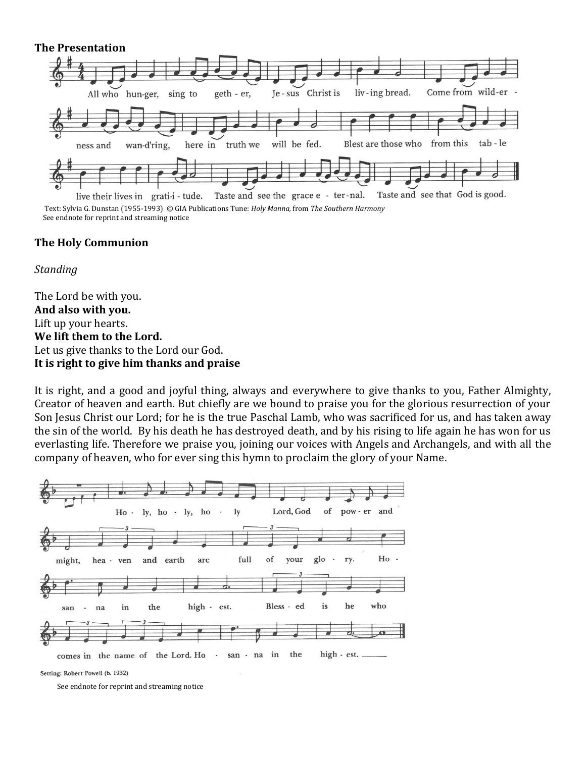

 Text: Sylvia G. Dunstan (1955-1993) © GIA Publications Tune: *Holy Manna,* from *The Southern Harmony* See endnote for reprint and streaming notice

### **The Holy Communion**

*Standing*

The Lord be with you. **And also with you.** Lift up your hearts. **We lift them to the Lord.** Let us give thanks to the Lord our God. **It is right to give him thanks and praise**

It is right, and a good and joyful thing, always and everywhere to give thanks to you, Father Almighty, Creator of heaven and earth. But chiefly are we bound to praise you for the glorious resurrection of your Son Jesus Christ our Lord; for he is the true Paschal Lamb, who was sacrificed for us, and has taken away the sin of the world. By his death he has destroyed death, and by his rising to life again he has won for us everlasting life. Therefore we praise you, joining our voices with Angels and Archangels, and with all the company of heaven, who for ever sing this hymn to proclaim the glory of your Name.



Setting: Robert Powell (b. 1932)

See endnote for reprint and streaming notice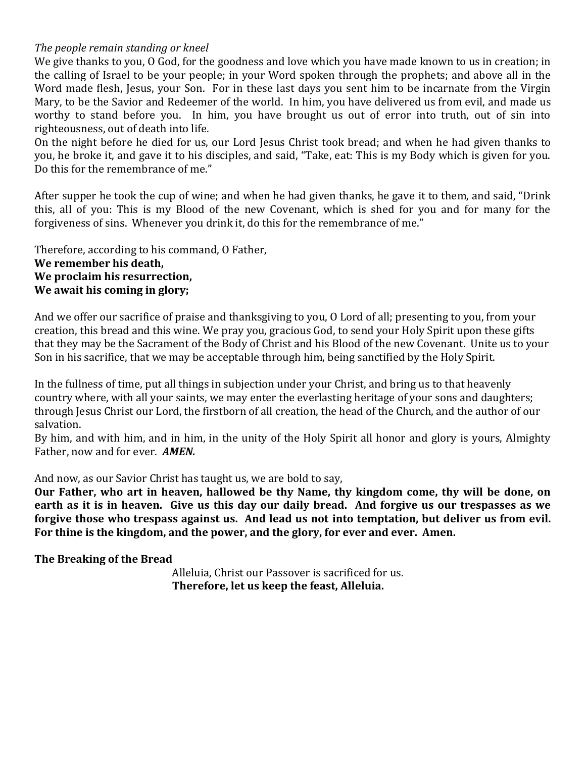## *The people remain standing or kneel*

We give thanks to you, O God, for the goodness and love which you have made known to us in creation; in the calling of Israel to be your people; in your Word spoken through the prophets; and above all in the Word made flesh, Jesus, your Son. For in these last days you sent him to be incarnate from the Virgin Mary, to be the Savior and Redeemer of the world. In him, you have delivered us from evil, and made us worthy to stand before you. In him, you have brought us out of error into truth, out of sin into righteousness, out of death into life.

On the night before he died for us, our Lord Jesus Christ took bread; and when he had given thanks to you, he broke it, and gave it to his disciples, and said, "Take, eat: This is my Body which is given for you. Do this for the remembrance of me."

After supper he took the cup of wine; and when he had given thanks, he gave it to them, and said, "Drink this, all of you: This is my Blood of the new Covenant, which is shed for you and for many for the forgiveness of sins. Whenever you drink it, do this for the remembrance of me."

Therefore, according to his command, O Father, **We remember his death, We proclaim his resurrection, We await his coming in glory;**

And we offer our sacrifice of praise and thanksgiving to you, O Lord of all; presenting to you, from your creation, this bread and this wine. We pray you, gracious God, to send your Holy Spirit upon these gifts that they may be the Sacrament of the Body of Christ and his Blood of the new Covenant. Unite us to your Son in his sacrifice, that we may be acceptable through him, being sanctified by the Holy Spirit.

In the fullness of time, put all things in subjection under your Christ, and bring us to that heavenly country where, with all your saints, we may enter the everlasting heritage of your sons and daughters; through Jesus Christ our Lord, the firstborn of all creation, the head of the Church, and the author of our salvation.

By him, and with him, and in him, in the unity of the Holy Spirit all honor and glory is yours, Almighty Father, now and for ever. *AMEN.*

And now, as our Savior Christ has taught us, we are bold to say,

**Our Father, who art in heaven, hallowed be thy Name, thy kingdom come, thy will be done, on earth as it is in heaven. Give us this day our daily bread. And forgive us our trespasses as we forgive those who trespass against us. And lead us not into temptation, but deliver us from evil. For thine is the kingdom, and the power, and the glory, for ever and ever. Amen.**

**The Breaking of the Bread**

Alleluia, Christ our Passover is sacrificed for us. **Therefore, let us keep the feast, Alleluia.**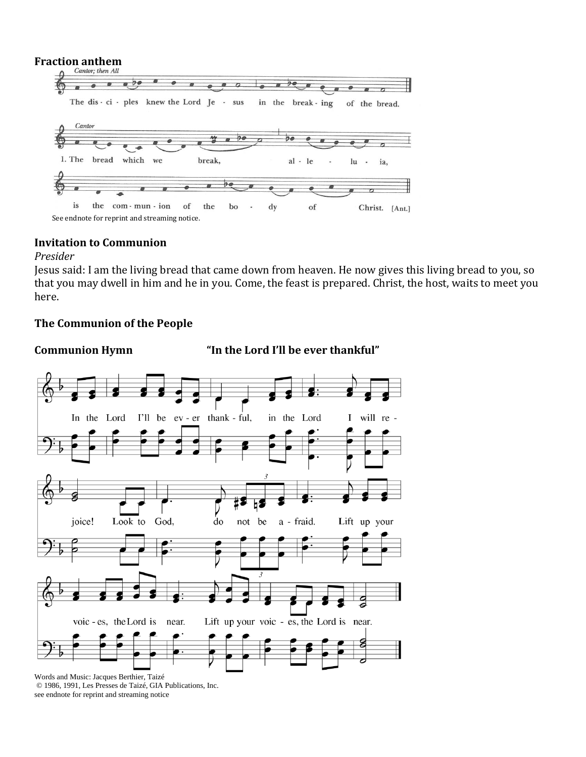# **Fraction anthem**



#### **Invitation to Communion**

#### *Presider*

Jesus said: I am the living bread that came down from heaven. He now gives this living bread to you, so that you may dwell in him and he in you. Come, the feast is prepared. Christ, the host, waits to meet you here.

### **The Communion of the People**

**Communion Hymn "In the Lord I'll be ever thankful"**



Words and Music: Jacques Berthier, Taizé © 1986, 1991, Les Presses de Taizé, GIA Publications, Inc. see endnote for reprint and streaming notice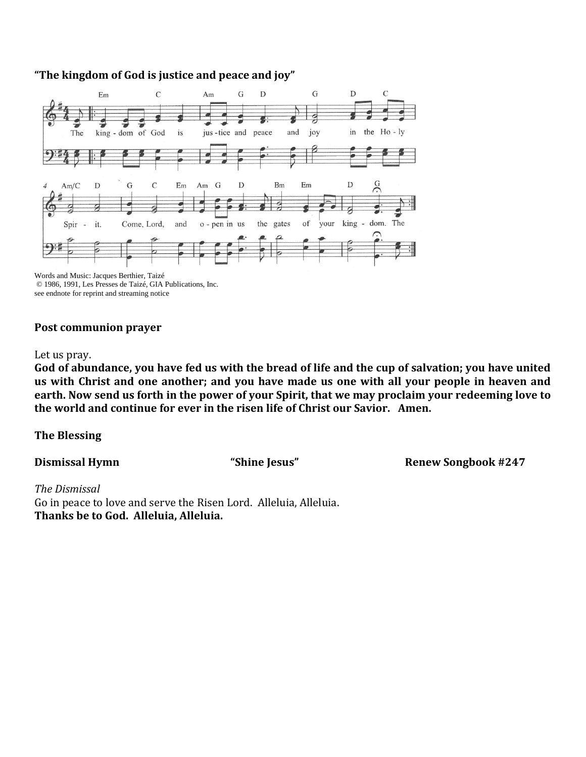### **"The kingdom of God is justice and peace and joy"**



Words and Music: Jacques Berthier, Taizé © 1986, 1991, Les Presses de Taizé, GIA Publications, Inc. see endnote for reprint and streaming notice

### **Post communion prayer**

#### Let us pray.

**God of abundance, you have fed us with the bread of life and the cup of salvation; you have united us with Christ and one another; and you have made us one with all your people in heaven and earth. Now send us forth in the power of your Spirit, that we may proclaim your redeeming love to the world and continue for ever in the risen life of Christ our Savior. Amen.**

### **The Blessing**

**Dismissal Hymn "Shine Jesus" Renew Songbook #247**

*The Dismissal* Go in peace to love and serve the Risen Lord. Alleluia, Alleluia. **Thanks be to God. Alleluia, Alleluia.**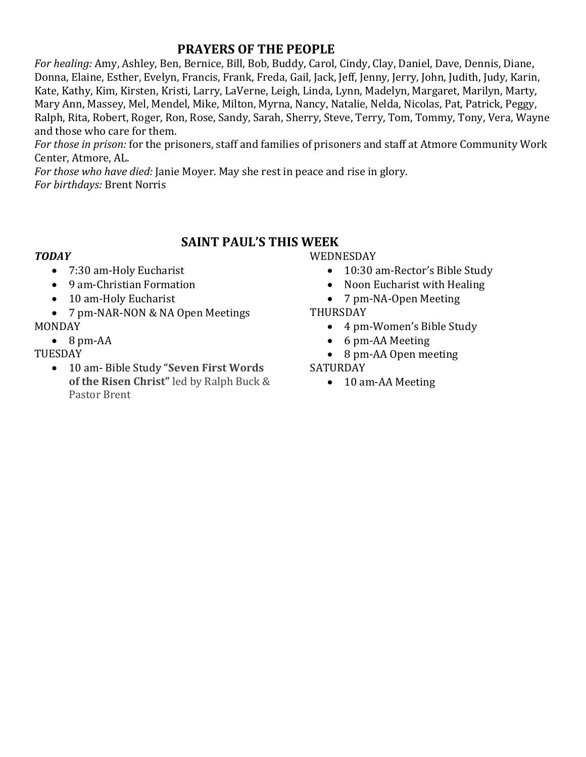# **PRAYERS OF THE PEOPLE**

*For healing:* Amy, Ashley, Ben, Bernice, Bill, Bob, Buddy, Carol, Cindy, Clay, Daniel, Dave, Dennis, Diane, Donna, Elaine, Esther, Evelyn, Francis, Frank, Freda, Gail, Jack, Jeff, Jenny, Jerry, John, Judith, Judy, Karin, Kate, Kathy, Kim, Kirsten, Kristi, Larry, LaVerne, Leigh, Linda, Lynn, Madelyn, Margaret, Marilyn, Marty, Mary Ann, Massey, Mel, Mendel, Mike, Milton, Myrna, Nancy, Natalie, Nelda, Nicolas, Pat, Patrick, Peggy, Ralph, Rita, Robert, Roger, Ron, Rose, Sandy, Sarah, Sherry, Steve, Terry, Tom, Tommy, Tony, Vera, Wayne and those who care for them.

*For those in prison:* for the prisoners, staff and families of prisoners and staff at Atmore Community Work Center, Atmore, AL.

*For those who have died:* Janie Moyer. May she rest in peace and rise in glory. *For birthdays:* Brent Norris

# **SAINT PAUL'S THIS WEEK**

## *TODAY*

- 7:30 am-Holy Eucharist
- 9 am-Christian Formation
- 10 am-Holy Eucharist
- 7 pm-NAR-NON & NA Open Meetings

# MONDAY

• 8 pm-AA

# TUESDAY

• 10 am- Bible Study "**Seven First Words of the Risen Christ"** led by Ralph Buck & Pastor Brent

# WEDNESDAY

- 10:30 am-Rector's Bible Study
- Noon Eucharist with Healing
- 7 pm-NA-Open Meeting
- THURSDAY
	- 4 pm-Women's Bible Study
	- 6 pm-AA Meeting
	- 8 pm-AA Open meeting

# **SATURDAY**

• 10 am-AA Meeting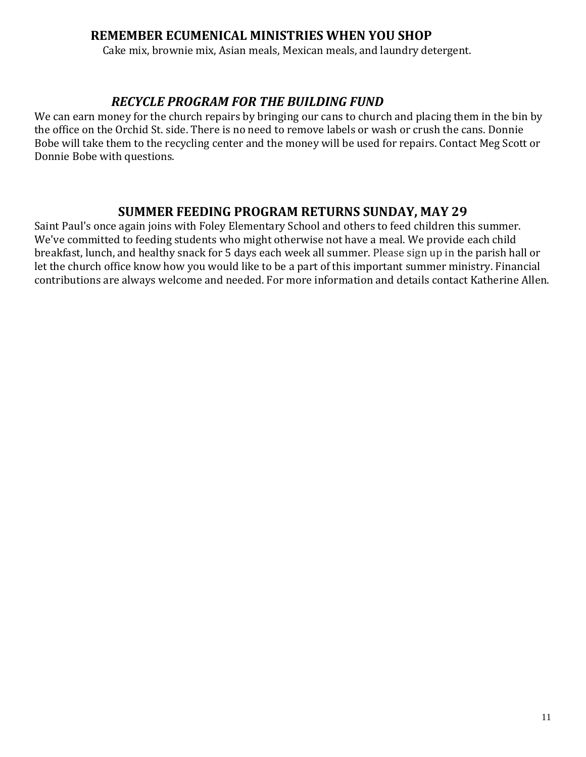# **REMEMBER ECUMENICAL MINISTRIES WHEN YOU SHOP**

Cake mix, brownie mix, Asian meals, Mexican meals, and laundry detergent.

# *RECYCLE PROGRAM FOR THE BUILDING FUND*

We can earn money for the church repairs by bringing our cans to church and placing them in the bin by the office on the Orchid St. side. There is no need to remove labels or wash or crush the cans. Donnie Bobe will take them to the recycling center and the money will be used for repairs. Contact Meg Scott or Donnie Bobe with questions.

# **SUMMER FEEDING PROGRAM RETURNS SUNDAY, MAY 29**

Saint Paul's once again joins with Foley Elementary School and others to feed children this summer. We've committed to feeding students who might otherwise not have a meal. We provide each child breakfast, lunch, and healthy snack for 5 days each week all summer. Please sign up in the parish hall or let the church office know how you would like to be a part of this important summer ministry. Financial contributions are always welcome and needed. For more information and details contact Katherine Allen.